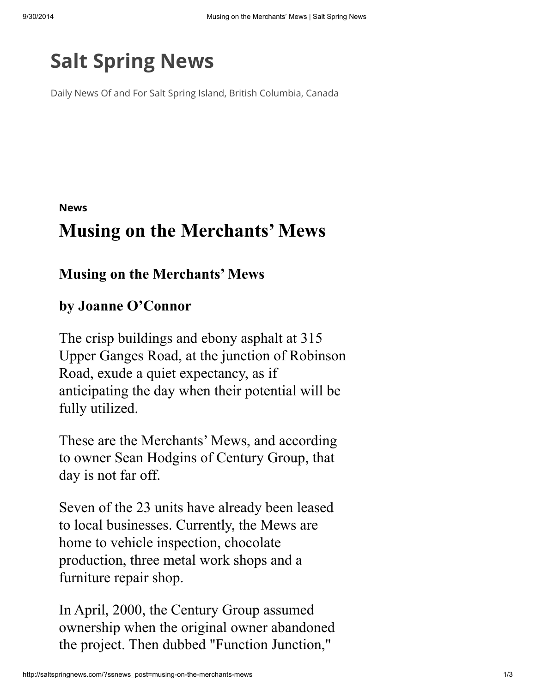## Salt [Spring](http://saltspringnews.com/) News

Daily News Of and For Salt Spring Island, British Columbia, Canada

[News](http://saltspringnews.com/?ssnews_topics=news)

## Musing on the Merchants' Mews

## Musing on the Merchants' Mews

## by Joanne O'Connor

The crisp buildings and ebony asphalt at 315 Upper Ganges Road, at the junction of Robinson Road, exude a quiet expectancy, as if anticipating the day when their potential will be fully utilized.

These are the Merchants' Mews, and according to owner Sean Hodgins of Century Group, that day is not far off.

Seven of the 23 units have already been leased to local businesses. Currently, the Mews are home to vehicle inspection, chocolate production, three metal work shops and a furniture repair shop.

In April, 2000, the Century Group assumed ownership when the original owner abandoned the project. Then dubbed "Function Junction,"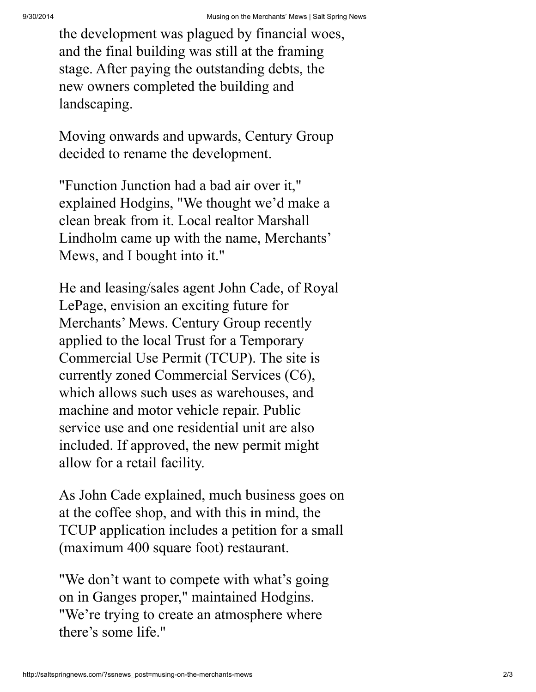the development was plagued by financial woes, and the final building was still at the framing stage. After paying the outstanding debts, the new owners completed the building and landscaping.

Moving onwards and upwards, Century Group decided to rename the development.

"Function Junction had a bad air over it," explained Hodgins, "We thought we'd make a clean break from it. Local realtor Marshall Lindholm came up with the name, Merchants' Mews, and I bought into it."

He and leasing/sales agent John Cade, of Royal LePage, envision an exciting future for Merchants' Mews. Century Group recently applied to the local Trust for a Temporary Commercial Use Permit (TCUP). The site is currently zoned Commercial Services (C6), which allows such uses as warehouses, and machine and motor vehicle repair. Public service use and one residential unit are also included. If approved, the new permit might allow for a retail facility.

As John Cade explained, much business goes on at the coffee shop, and with this in mind, the TCUP application includes a petition for a small (maximum 400 square foot) restaurant.

"We don't want to compete with what's going on in Ganges proper," maintained Hodgins. "We're trying to create an atmosphere where there's some life."